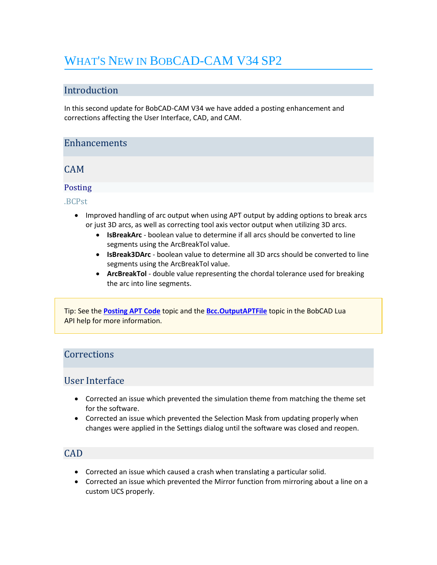# WHAT'S NEW IN BOBCAD-CAM V34 SP2

## Introduction

In this second update for BobCAD-CAM V34 we have added a posting enhancement and corrections affecting the User Interface, CAD, and CAM.

### **Enhancements**

CAM

### Posting

.BCPst

- Improved handling of arc output when using APT output by adding options to break arcs or just 3D arcs, as well as correcting tool axis vector output when utilizing 3D arcs.
	- **IsBreakArc** boolean value to determine if all arcs should be converted to line segments using the ArcBreakTol value.
	- **IsBreak3DArc** boolean value to determine all 3D arcs should be converted to line segments using the ArcBreakTol value.
	- **ArcBreakTol** double value representing the chordal tolerance used for breaking the arc into line segments.

Tip: See the **[Posting APT Code](https://bobcad.com/components/webhelp/BobCADCAMV34/Content/Merge/CAM/Posting_G-Code/Posting_APT_Code.htm)** topic and the **[Bcc.OutputAPTFile](https://bobcad.com/components/webhelp/BC_Lua/BccOutputAPTFile.html)** topic in the BobCAD Lua API help for more information.

## **Corrections**

## User Interface

- Corrected an issue which prevented the simulation theme from matching the theme set for the software.
- Corrected an issue which prevented the Selection Mask from updating properly when changes were applied in the Settings dialog until the software was closed and reopen.

# CAD

- Corrected an issue which caused a crash when translating a particular solid.
- Corrected an issue which prevented the Mirror function from mirroring about a line on a custom UCS properly.